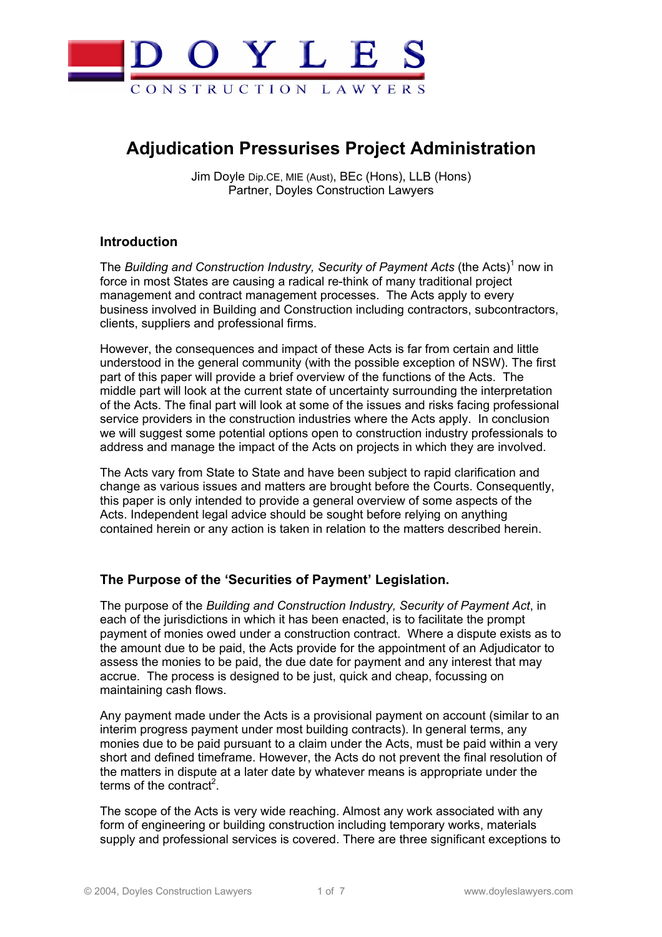

# **Adjudication Pressurises Project Administration**

Jim Doyle Dip.CE, MIE (Aust), BEc (Hons), LLB (Hons) Partner, Doyles Construction Lawyers

## **Introduction**

The Building and Construction Industry, Security of Payment Acts (the Acts)<sup>1</sup> now in force in most States are causing a radical re-think of many traditional project management and contract management processes. The Acts apply to every business involved in Building and Construction including contractors, subcontractors, clients, suppliers and professional firms.

However, the consequences and impact of these Acts is far from certain and little understood in the general community (with the possible exception of NSW). The first part of this paper will provide a brief overview of the functions of the Acts. The middle part will look at the current state of uncertainty surrounding the interpretation of the Acts. The final part will look at some of the issues and risks facing professional service providers in the construction industries where the Acts apply. In conclusion we will suggest some potential options open to construction industry professionals to address and manage the impact of the Acts on projects in which they are involved.

The Acts vary from State to State and have been subject to rapid clarification and change as various issues and matters are brought before the Courts. Consequently, this paper is only intended to provide a general overview of some aspects of the Acts. Independent legal advice should be sought before relying on anything contained herein or any action is taken in relation to the matters described herein.

## **The Purpose of the 'Securities of Payment' Legislation.**

The purpose of the *Building and Construction Industry, Security of Payment Act*, in each of the jurisdictions in which it has been enacted, is to facilitate the prompt payment of monies owed under a construction contract. Where a dispute exists as to the amount due to be paid, the Acts provide for the appointment of an Adjudicator to assess the monies to be paid, the due date for payment and any interest that may accrue. The process is designed to be just, quick and cheap, focussing on maintaining cash flows.

Any payment made under the Acts is a provisional payment on account (similar to an interim progress payment under most building contracts). In general terms, any monies due to be paid pursuant to a claim under the Acts, must be paid within a very short and defined timeframe. However, the Acts do not prevent the final resolution of the matters in dispute at a later date by whatever means is appropriate under the terms of the contract<sup>2</sup>.

The scope of the Acts is very wide reaching. Almost any work associated with any form of engineering or building construction including temporary works, materials supply and professional services is covered. There are three significant exceptions to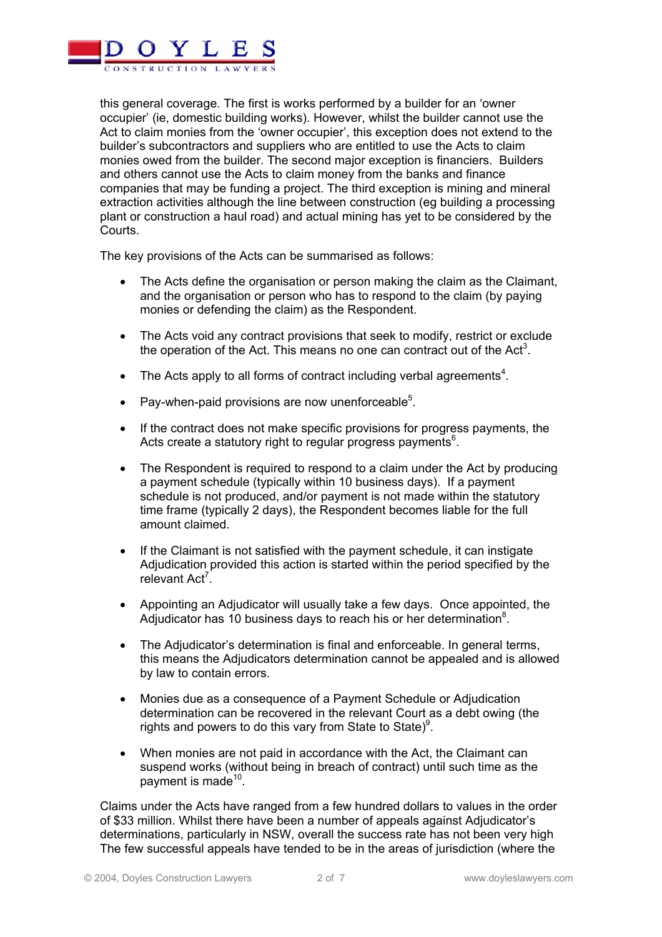

this general coverage. The first is works performed by a builder for an 'owner occupier' (ie, domestic building works). However, whilst the builder cannot use the Act to claim monies from the 'owner occupier', this exception does not extend to the builder's subcontractors and suppliers who are entitled to use the Acts to claim monies owed from the builder. The second major exception is financiers. Builders and others cannot use the Acts to claim money from the banks and finance companies that may be funding a project. The third exception is mining and mineral extraction activities although the line between construction (eg building a processing plant or construction a haul road) and actual mining has yet to be considered by the Courts.

The key provisions of the Acts can be summarised as follows:

- The Acts define the organisation or person making the claim as the Claimant, and the organisation or person who has to respond to the claim (by paying monies or defending the claim) as the Respondent.
- The Acts void any contract provisions that seek to modify, restrict or exclude the operation of the Act. This means no one can contract out of the Act<sup>3</sup>.
- The Acts apply to all forms of contract including verbal agreements<sup>4</sup>.
- Pay-when-paid provisions are now unenforceable<sup>5</sup>.
- If the contract does not make specific provisions for progress payments, the Acts create a statutory right to regular progress payments<sup>6</sup>.
- The Respondent is required to respond to a claim under the Act by producing a payment schedule (typically within 10 business days). If a payment schedule is not produced, and/or payment is not made within the statutory time frame (typically 2 days), the Respondent becomes liable for the full amount claimed.
- If the Claimant is not satisfied with the payment schedule, it can instigate Adjudication provided this action is started within the period specified by the relevant Act<sup>7</sup>.
- Appointing an Adjudicator will usually take a few days. Once appointed, the Adjudicator has 10 business days to reach his or her determination<sup>8</sup>.
- The Adjudicator's determination is final and enforceable. In general terms, this means the Adjudicators determination cannot be appealed and is allowed by law to contain errors.
- Monies due as a consequence of a Payment Schedule or Adjudication determination can be recovered in the relevant Court as a debt owing (the rights and powers to do this vary from State to State) $9$ .
- When monies are not paid in accordance with the Act, the Claimant can suspend works (without being in breach of contract) until such time as the payment is made $10$ .

Claims under the Acts have ranged from a few hundred dollars to values in the order of \$33 million. Whilst there have been a number of appeals against Adjudicator's determinations, particularly in NSW, overall the success rate has not been very high The few successful appeals have tended to be in the areas of jurisdiction (where the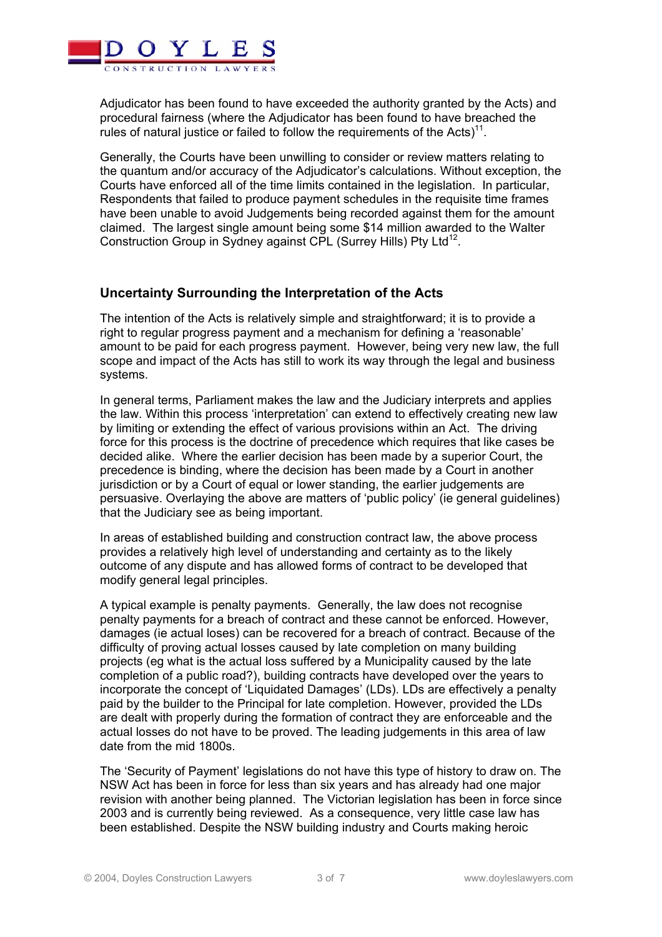

Adjudicator has been found to have exceeded the authority granted by the Acts) and procedural fairness (where the Adjudicator has been found to have breached the rules of natural justice or failed to follow the requirements of the Acts $1^{11}$ .

Generally, the Courts have been unwilling to consider or review matters relating to the quantum and/or accuracy of the Adjudicator's calculations. Without exception, the Courts have enforced all of the time limits contained in the legislation. In particular, Respondents that failed to produce payment schedules in the requisite time frames have been unable to avoid Judgements being recorded against them for the amount claimed. The largest single amount being some \$14 million awarded to the Walter Construction Group in Sydney against CPL (Surrey Hills) Pty Ltd<sup>12</sup>.

## **Uncertainty Surrounding the Interpretation of the Acts**

The intention of the Acts is relatively simple and straightforward; it is to provide a right to regular progress payment and a mechanism for defining a 'reasonable' amount to be paid for each progress payment. However, being very new law, the full scope and impact of the Acts has still to work its way through the legal and business systems.

In general terms, Parliament makes the law and the Judiciary interprets and applies the law. Within this process 'interpretation' can extend to effectively creating new law by limiting or extending the effect of various provisions within an Act. The driving force for this process is the doctrine of precedence which requires that like cases be decided alike. Where the earlier decision has been made by a superior Court, the precedence is binding, where the decision has been made by a Court in another jurisdiction or by a Court of equal or lower standing, the earlier judgements are persuasive. Overlaying the above are matters of 'public policy' (ie general guidelines) that the Judiciary see as being important.

In areas of established building and construction contract law, the above process provides a relatively high level of understanding and certainty as to the likely outcome of any dispute and has allowed forms of contract to be developed that modify general legal principles.

A typical example is penalty payments. Generally, the law does not recognise penalty payments for a breach of contract and these cannot be enforced. However, damages (ie actual loses) can be recovered for a breach of contract. Because of the difficulty of proving actual losses caused by late completion on many building projects (eg what is the actual loss suffered by a Municipality caused by the late completion of a public road?), building contracts have developed over the years to incorporate the concept of 'Liquidated Damages' (LDs). LDs are effectively a penalty paid by the builder to the Principal for late completion. However, provided the LDs are dealt with properly during the formation of contract they are enforceable and the actual losses do not have to be proved. The leading judgements in this area of law date from the mid 1800s.

The 'Security of Payment' legislations do not have this type of history to draw on. The NSW Act has been in force for less than six years and has already had one major revision with another being planned. The Victorian legislation has been in force since 2003 and is currently being reviewed. As a consequence, very little case law has been established. Despite the NSW building industry and Courts making heroic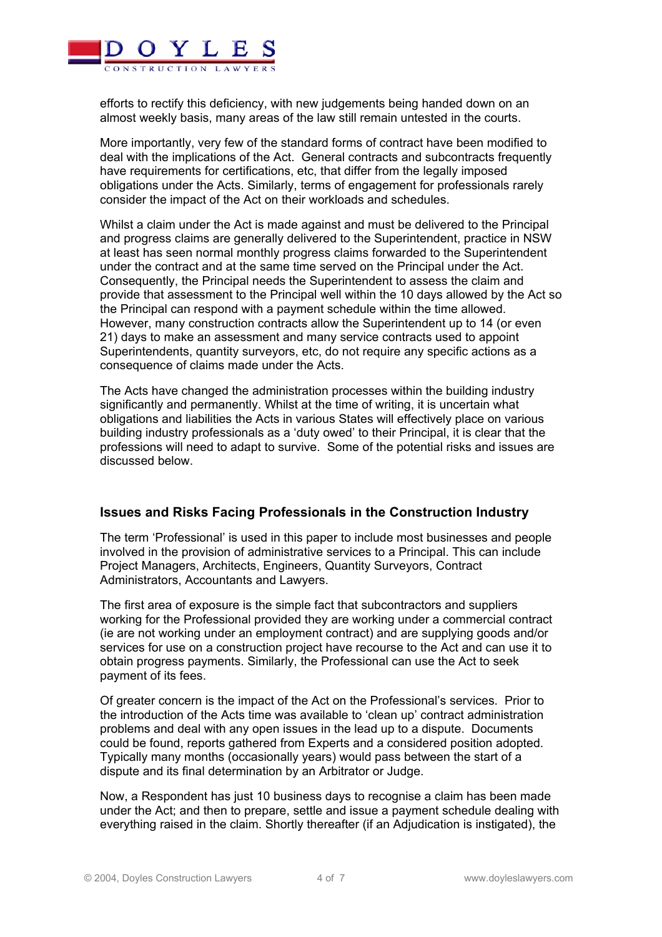

efforts to rectify this deficiency, with new judgements being handed down on an almost weekly basis, many areas of the law still remain untested in the courts.

More importantly, very few of the standard forms of contract have been modified to deal with the implications of the Act. General contracts and subcontracts frequently have requirements for certifications, etc, that differ from the legally imposed obligations under the Acts. Similarly, terms of engagement for professionals rarely consider the impact of the Act on their workloads and schedules.

Whilst a claim under the Act is made against and must be delivered to the Principal and progress claims are generally delivered to the Superintendent, practice in NSW at least has seen normal monthly progress claims forwarded to the Superintendent under the contract and at the same time served on the Principal under the Act. Consequently, the Principal needs the Superintendent to assess the claim and provide that assessment to the Principal well within the 10 days allowed by the Act so the Principal can respond with a payment schedule within the time allowed. However, many construction contracts allow the Superintendent up to 14 (or even 21) days to make an assessment and many service contracts used to appoint Superintendents, quantity surveyors, etc, do not require any specific actions as a consequence of claims made under the Acts.

The Acts have changed the administration processes within the building industry significantly and permanently. Whilst at the time of writing, it is uncertain what obligations and liabilities the Acts in various States will effectively place on various building industry professionals as a 'duty owed' to their Principal, it is clear that the professions will need to adapt to survive. Some of the potential risks and issues are discussed below.

### **Issues and Risks Facing Professionals in the Construction Industry**

The term 'Professional' is used in this paper to include most businesses and people involved in the provision of administrative services to a Principal. This can include Project Managers, Architects, Engineers, Quantity Surveyors, Contract Administrators, Accountants and Lawyers.

The first area of exposure is the simple fact that subcontractors and suppliers working for the Professional provided they are working under a commercial contract (ie are not working under an employment contract) and are supplying goods and/or services for use on a construction project have recourse to the Act and can use it to obtain progress payments. Similarly, the Professional can use the Act to seek payment of its fees.

Of greater concern is the impact of the Act on the Professional's services. Prior to the introduction of the Acts time was available to 'clean up' contract administration problems and deal with any open issues in the lead up to a dispute. Documents could be found, reports gathered from Experts and a considered position adopted. Typically many months (occasionally years) would pass between the start of a dispute and its final determination by an Arbitrator or Judge.

Now, a Respondent has just 10 business days to recognise a claim has been made under the Act; and then to prepare, settle and issue a payment schedule dealing with everything raised in the claim. Shortly thereafter (if an Adjudication is instigated), the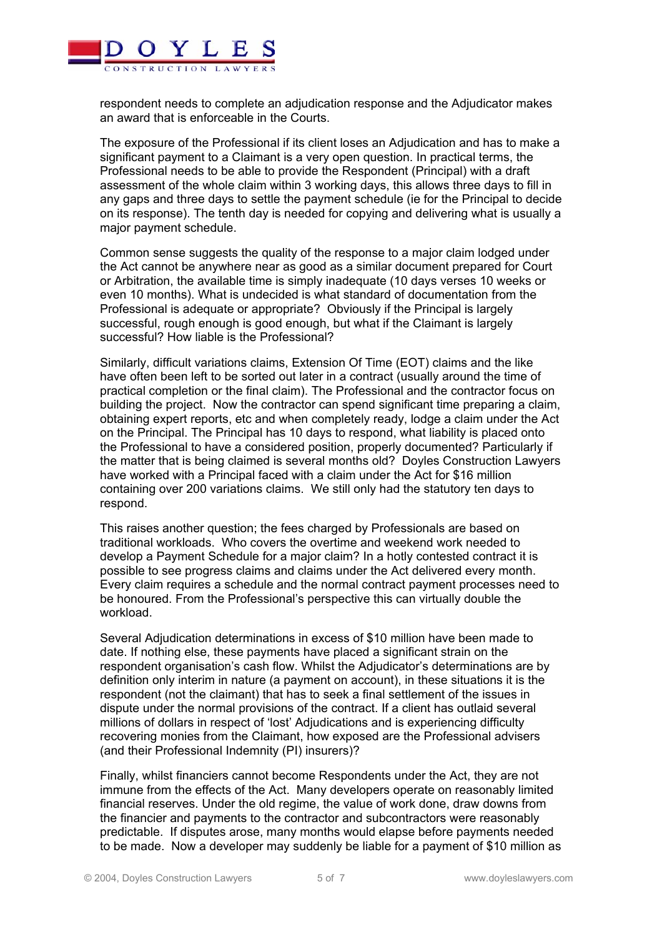

respondent needs to complete an adjudication response and the Adjudicator makes an award that is enforceable in the Courts.

The exposure of the Professional if its client loses an Adjudication and has to make a significant payment to a Claimant is a very open question. In practical terms, the Professional needs to be able to provide the Respondent (Principal) with a draft assessment of the whole claim within 3 working days, this allows three days to fill in any gaps and three days to settle the payment schedule (ie for the Principal to decide on its response). The tenth day is needed for copying and delivering what is usually a major payment schedule.

Common sense suggests the quality of the response to a major claim lodged under the Act cannot be anywhere near as good as a similar document prepared for Court or Arbitration, the available time is simply inadequate (10 days verses 10 weeks or even 10 months). What is undecided is what standard of documentation from the Professional is adequate or appropriate? Obviously if the Principal is largely successful, rough enough is good enough, but what if the Claimant is largely successful? How liable is the Professional?

Similarly, difficult variations claims, Extension Of Time (EOT) claims and the like have often been left to be sorted out later in a contract (usually around the time of practical completion or the final claim). The Professional and the contractor focus on building the project. Now the contractor can spend significant time preparing a claim, obtaining expert reports, etc and when completely ready, lodge a claim under the Act on the Principal. The Principal has 10 days to respond, what liability is placed onto the Professional to have a considered position, properly documented? Particularly if the matter that is being claimed is several months old? Doyles Construction Lawyers have worked with a Principal faced with a claim under the Act for \$16 million containing over 200 variations claims. We still only had the statutory ten days to respond.

This raises another question; the fees charged by Professionals are based on traditional workloads. Who covers the overtime and weekend work needed to develop a Payment Schedule for a major claim? In a hotly contested contract it is possible to see progress claims and claims under the Act delivered every month. Every claim requires a schedule and the normal contract payment processes need to be honoured. From the Professional's perspective this can virtually double the workload.

Several Adjudication determinations in excess of \$10 million have been made to date. If nothing else, these payments have placed a significant strain on the respondent organisation's cash flow. Whilst the Adjudicator's determinations are by definition only interim in nature (a payment on account), in these situations it is the respondent (not the claimant) that has to seek a final settlement of the issues in dispute under the normal provisions of the contract. If a client has outlaid several millions of dollars in respect of 'lost' Adjudications and is experiencing difficulty recovering monies from the Claimant, how exposed are the Professional advisers (and their Professional Indemnity (PI) insurers)?

Finally, whilst financiers cannot become Respondents under the Act, they are not immune from the effects of the Act. Many developers operate on reasonably limited financial reserves. Under the old regime, the value of work done, draw downs from the financier and payments to the contractor and subcontractors were reasonably predictable. If disputes arose, many months would elapse before payments needed to be made. Now a developer may suddenly be liable for a payment of \$10 million as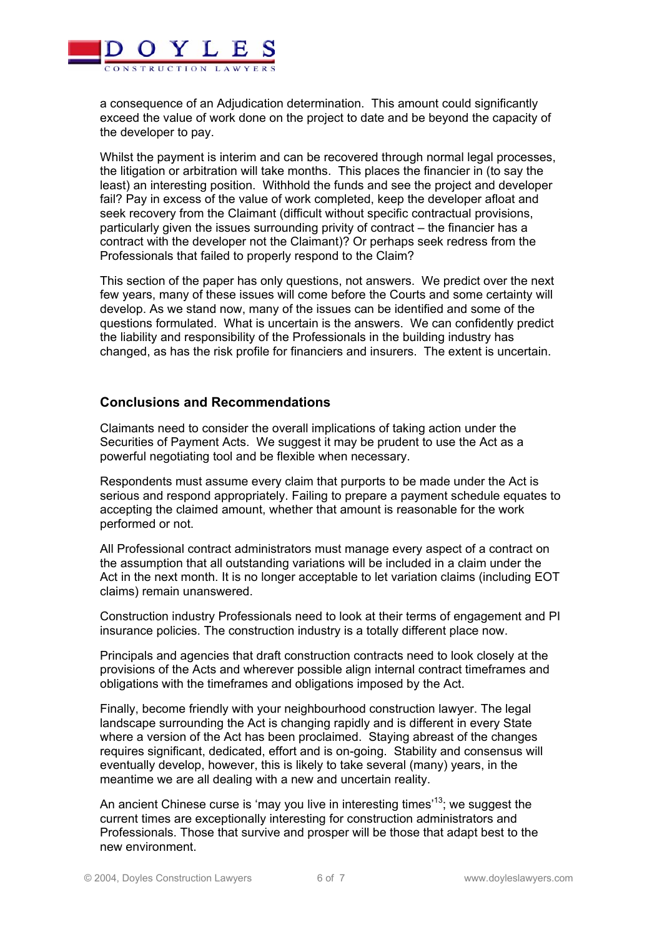

a consequence of an Adjudication determination. This amount could significantly exceed the value of work done on the project to date and be beyond the capacity of the developer to pay.

Whilst the payment is interim and can be recovered through normal legal processes, the litigation or arbitration will take months. This places the financier in (to say the least) an interesting position. Withhold the funds and see the project and developer fail? Pay in excess of the value of work completed, keep the developer afloat and seek recovery from the Claimant (difficult without specific contractual provisions, particularly given the issues surrounding privity of contract – the financier has a contract with the developer not the Claimant)? Or perhaps seek redress from the Professionals that failed to properly respond to the Claim?

This section of the paper has only questions, not answers. We predict over the next few years, many of these issues will come before the Courts and some certainty will develop. As we stand now, many of the issues can be identified and some of the questions formulated. What is uncertain is the answers. We can confidently predict the liability and responsibility of the Professionals in the building industry has changed, as has the risk profile for financiers and insurers. The extent is uncertain.

### **Conclusions and Recommendations**

Claimants need to consider the overall implications of taking action under the Securities of Payment Acts. We suggest it may be prudent to use the Act as a powerful negotiating tool and be flexible when necessary.

Respondents must assume every claim that purports to be made under the Act is serious and respond appropriately. Failing to prepare a payment schedule equates to accepting the claimed amount, whether that amount is reasonable for the work performed or not.

All Professional contract administrators must manage every aspect of a contract on the assumption that all outstanding variations will be included in a claim under the Act in the next month. It is no longer acceptable to let variation claims (including EOT claims) remain unanswered.

Construction industry Professionals need to look at their terms of engagement and PI insurance policies. The construction industry is a totally different place now.

Principals and agencies that draft construction contracts need to look closely at the provisions of the Acts and wherever possible align internal contract timeframes and obligations with the timeframes and obligations imposed by the Act.

Finally, become friendly with your neighbourhood construction lawyer. The legal landscape surrounding the Act is changing rapidly and is different in every State where a version of the Act has been proclaimed. Staying abreast of the changes requires significant, dedicated, effort and is on-going. Stability and consensus will eventually develop, however, this is likely to take several (many) years, in the meantime we are all dealing with a new and uncertain reality.

An ancient Chinese curse is 'may you live in interesting times'<sup>13</sup>; we suggest the current times are exceptionally interesting for construction administrators and Professionals. Those that survive and prosper will be those that adapt best to the new environment.